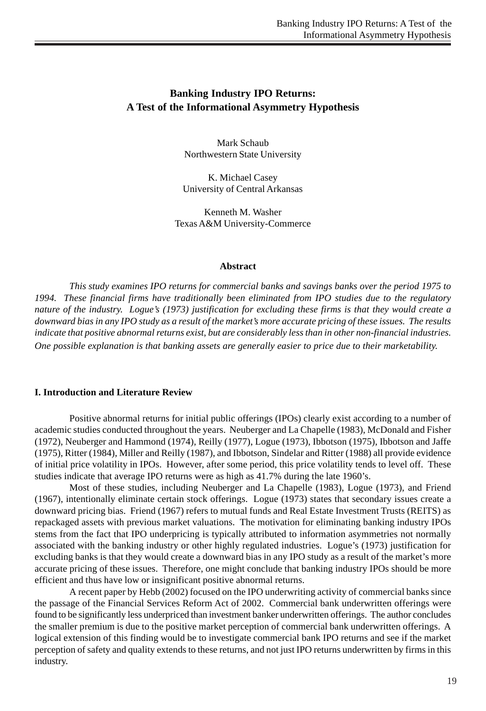# **Banking Industry IPO Returns: A Test of the Informational Asymmetry Hypothesis**

Mark Schaub Northwestern State University

K. Michael Casey University of Central Arkansas

Kenneth M. Washer Texas A&M University-Commerce

#### **Abstract**

*This study examines IPO returns for commercial banks and savings banks over the period 1975 to 1994. These financial firms have traditionally been eliminated from IPO studies due to the regulatory nature of the industry. Logue's (1973) justification for excluding these firms is that they would create a downward bias in any IPO study as a result of the market's more accurate pricing of these issues. The results indicate that positive abnormal returns exist, but are considerably less than in other non-financial industries. One possible explanation is that banking assets are generally easier to price due to their marketability.*

#### **I. Introduction and Literature Review**

Positive abnormal returns for initial public offerings (IPOs) clearly exist according to a number of academic studies conducted throughout the years. Neuberger and La Chapelle (1983), McDonald and Fisher (1972), Neuberger and Hammond (1974), Reilly (1977), Logue (1973), Ibbotson (1975), Ibbotson and Jaffe (1975), Ritter (1984), Miller and Reilly (1987), and Ibbotson, Sindelar and Ritter (1988) all provide evidence of initial price volatility in IPOs. However, after some period, this price volatility tends to level off. These studies indicate that average IPO returns were as high as 41.7% during the late 1960's.

Most of these studies, including Neuberger and La Chapelle (1983), Logue (1973), and Friend (1967), intentionally eliminate certain stock offerings. Logue (1973) states that secondary issues create a downward pricing bias. Friend (1967) refers to mutual funds and Real Estate Investment Trusts (REITS) as repackaged assets with previous market valuations. The motivation for eliminating banking industry IPOs stems from the fact that IPO underpricing is typically attributed to information asymmetries not normally associated with the banking industry or other highly regulated industries. Logue's (1973) justification for excluding banks is that they would create a downward bias in any IPO study as a result of the market's more accurate pricing of these issues. Therefore, one might conclude that banking industry IPOs should be more efficient and thus have low or insignificant positive abnormal returns.

A recent paper by Hebb (2002) focused on the IPO underwriting activity of commercial banks since the passage of the Financial Services Reform Act of 2002. Commercial bank underwritten offerings were found to be significantly less underpriced than investment banker underwritten offerings. The author concludes the smaller premium is due to the positive market perception of commercial bank underwritten offerings. A logical extension of this finding would be to investigate commercial bank IPO returns and see if the market perception of safety and quality extends to these returns, and not just IPO returns underwritten by firms in this industry.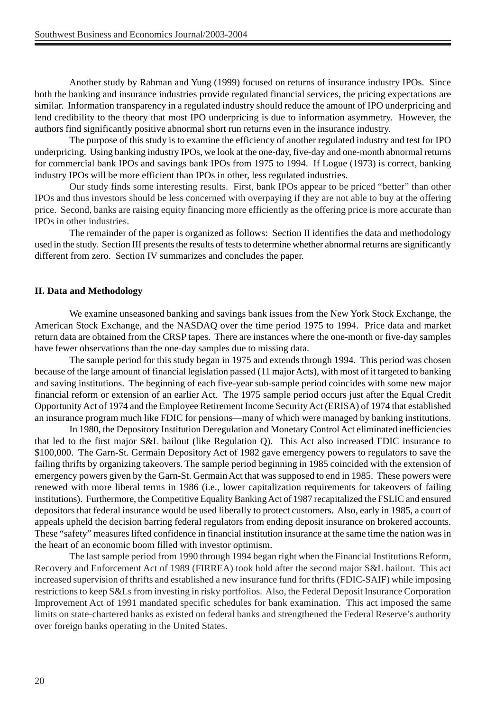Another study by Rahman and Yung (1999) focused on returns of insurance industry IPOs. Since both the banking and insurance industries provide regulated financial services, the pricing expectations are similar. Information transparency in a regulated industry should reduce the amount of IPO underpricing and lend credibility to the theory that most IPO underpricing is due to information asymmetry. However, the authors find significantly positive abnormal short run returns even in the insurance industry.

The purpose of this study is to examine the efficiency of another regulated industry and test for IPO underpricing. Using banking industry IPOs, we look at the one-day, five-day and one-month abnormal returns for commercial bank IPOs and savings bank IPOs from 1975 to 1994. If Logue (1973) is correct, banking industry IPOs will be more efficient than IPOs in other, less regulated industries.

Our study finds some interesting results. First, bank IPOs appear to be priced "better" than other IPOs and thus investors should be less concerned with overpaying if they are not able to buy at the offering price. Second, banks are raising equity financing more efficiently as the offering price is more accurate than IPOs in other industries.

The remainder of the paper is organized as follows: Section II identifies the data and methodology used in the study. Section III presents the results of tests to determine whether abnormal returns are significantly different from zero. Section IV summarizes and concludes the paper.

## **II. Data and Methodology**

We examine unseasoned banking and savings bank issues from the New York Stock Exchange, the American Stock Exchange, and the NASDAQ over the time period 1975 to 1994. Price data and market return data are obtained from the CRSP tapes. There are instances where the one-month or five-day samples have fewer observations than the one-day samples due to missing data.

The sample period for this study began in 1975 and extends through 1994. This period was chosen because of the large amount of financial legislation passed (11 major Acts), with most of it targeted to banking and saving institutions. The beginning of each five-year sub-sample period coincides with some new major financial reform or extension of an earlier Act. The 1975 sample period occurs just after the Equal Credit Opportunity Act of 1974 and the Employee Retirement Income Security Act (ERISA) of 1974 that established an insurance program much like FDIC for pensions—many of which were managed by banking institutions.

In 1980, the Depository Institution Deregulation and Monetary Control Act eliminated inefficiencies that led to the first major S&L bailout (like Regulation Q). This Act also increased FDIC insurance to \$100,000. The Garn-St. Germain Depository Act of 1982 gave emergency powers to regulators to save the failing thrifts by organizing takeovers. The sample period beginning in 1985 coincided with the extension of emergency powers given by the Garn-St. Germain Act that was supposed to end in 1985. These powers were renewed with more liberal terms in 1986 (i.e., lower capitalization requirements for takeovers of failing institutions). Furthermore, the Competitive Equality Banking Act of 1987 recapitalized the FSLIC and ensured depositors that federal insurance would be used liberally to protect customers. Also, early in 1985, a court of appeals upheld the decision barring federal regulators from ending deposit insurance on brokered accounts. These "safety" measures lifted confidence in financial institution insurance at the same time the nation was in the heart of an economic boom filled with investor optimism.

The last sample period from 1990 through 1994 began right when the Financial Institutions Reform, Recovery and Enforcement Act of 1989 (FIRREA) took hold after the second major S&L bailout. This act increased supervision of thrifts and established a new insurance fund for thrifts (FDIC-SAIF) while imposing restrictions to keep S&Ls from investing in risky portfolios. Also, the Federal Deposit Insurance Corporation Improvement Act of 1991 mandated specific schedules for bank examination. This act imposed the same limits on state-chartered banks as existed on federal banks and strengthened the Federal Reserve's authority over foreign banks operating in the United States.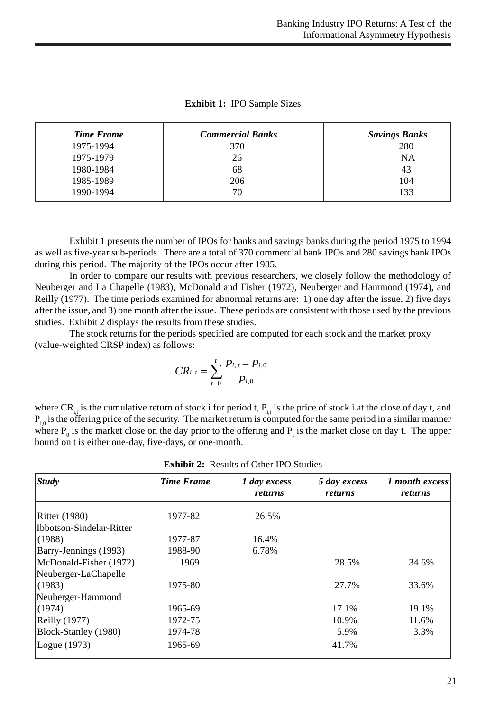| Time Frame | <b>Commercial Banks</b> | <b>Savings Banks</b> |
|------------|-------------------------|----------------------|
| 1975-1994  | 370                     | 280                  |
| 1975-1979  | 26                      | <b>NA</b>            |
| 1980-1984  | 68                      | 43                   |
| 1985-1989  | 206                     | 104                  |
| 1990-1994  | 70                      | 133                  |

**Exhibit 1:** IPO Sample Sizes

Exhibit 1 presents the number of IPOs for banks and savings banks during the period 1975 to 1994 as well as five-year sub-periods. There are a total of 370 commercial bank IPOs and 280 savings bank IPOs during this period. The majority of the IPOs occur after 1985.

In order to compare our results with previous researchers, we closely follow the methodology of Neuberger and La Chapelle (1983), McDonald and Fisher (1972), Neuberger and Hammond (1974), and Reilly (1977). The time periods examined for abnormal returns are: 1) one day after the issue, 2) five days after the issue, and 3) one month after the issue. These periods are consistent with those used by the previous studies. Exhibit 2 displays the results from these studies.

The stock returns for the periods specified are computed for each stock and the market proxy (value-weighted CRSP index) as follows:

$$
CR_{i, t} = \sum_{t=0}^{t} \frac{P_{i, t} - P_{i, 0}}{P_{i, 0}}
$$

where  $CR_i$  is the cumulative return of stock i for period t,  $P_i$  is the price of stock i at the close of day t, and  $P_{i0}$  is the offering price of the security. The market return is computed for the same period in a similar manner where  $P_0$  is the market close on the day prior to the offering and  $P_t$  is the market close on day t. The upper bound on t is either one-day, five-days, or one-month.

| <i><b>Study</b></i>       | <b>Time Frame</b> | 1 day excess<br>returns | 5 day excess<br>returns | 1 month excess<br>returns |
|---------------------------|-------------------|-------------------------|-------------------------|---------------------------|
|                           |                   |                         |                         |                           |
| IIbbotson-Sindelar-Ritter |                   |                         |                         |                           |
| (1988)                    | 1977-87           | 16.4%                   |                         |                           |
| Barry-Jennings (1993)     | 1988-90           | 6.78%                   |                         |                           |
| McDonald-Fisher (1972)    | 1969              |                         | 28.5%                   | 34.6%                     |
| Neuberger-LaChapelle      |                   |                         |                         |                           |
| (1983)                    | 1975-80           |                         | 27.7%                   | 33.6%                     |
| Neuberger-Hammond         |                   |                         |                         |                           |
| (1974)                    | 1965-69           |                         | 17.1%                   | 19.1%                     |
| $\left $ Reilly (1977)    | 1972-75           |                         | 10.9%                   | 11.6%                     |
| Block-Stanley (1980)      | 1974-78           |                         | 5.9%                    | 3.3%                      |
| Logue (1973)              | 1965-69           |                         | 41.7%                   |                           |

**Exhibit 2:** Results of Other IPO Studies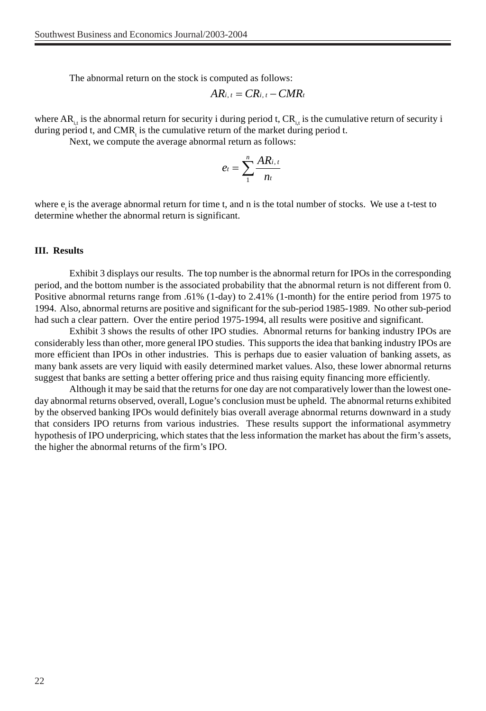The abnormal return on the stock is computed as follows:

$$
AR_{i, t} = CR_{i, t} - CMR_t
$$

where  $AR_{i,t}$  is the abnormal return for security i during period t,  $CR_{i,t}$  is the cumulative return of security i during period t, and CMR<sub>t</sub> is the cumulative return of the market during period t.

Next, we compute the average abnormal return as follows:

$$
e_t = \sum_{1}^{n} \frac{AR_{i,t}}{n_t}
$$

where  $e_i$  is the average abnormal return for time t, and n is the total number of stocks. We use a t-test to determine whether the abnormal return is significant.

#### **III. Results**

Exhibit 3 displays our results. The top number is the abnormal return for IPOs in the corresponding period, and the bottom number is the associated probability that the abnormal return is not different from 0. Positive abnormal returns range from .61% (1-day) to 2.41% (1-month) for the entire period from 1975 to 1994. Also, abnormal returns are positive and significant for the sub-period 1985-1989. No other sub-period had such a clear pattern. Over the entire period 1975-1994, all results were positive and significant.

Exhibit 3 shows the results of other IPO studies. Abnormal returns for banking industry IPOs are considerably less than other, more general IPO studies. This supports the idea that banking industry IPOs are more efficient than IPOs in other industries. This is perhaps due to easier valuation of banking assets, as many bank assets are very liquid with easily determined market values. Also, these lower abnormal returns suggest that banks are setting a better offering price and thus raising equity financing more efficiently.

Although it may be said that the returns for one day are not comparatively lower than the lowest oneday abnormal returns observed, overall, Logue's conclusion must be upheld. The abnormal returns exhibited by the observed banking IPOs would definitely bias overall average abnormal returns downward in a study that considers IPO returns from various industries. These results support the informational asymmetry hypothesis of IPO underpricing, which states that the less information the market has about the firm's assets, the higher the abnormal returns of the firm's IPO.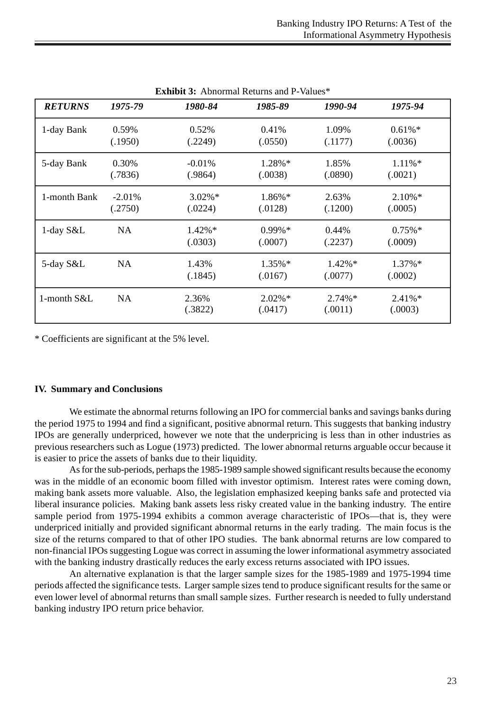| ежилять эт топогица телепиз ана т |                     |                      |                      |                      |                       |  |  |
|-----------------------------------|---------------------|----------------------|----------------------|----------------------|-----------------------|--|--|
| <b>RETURNS</b>                    | 1975-79             | 1980-84              | 1985-89              | 1990-94              | 1975-94               |  |  |
| 1-day Bank                        | 0.59%<br>(.1950)    | 0.52%<br>(.2249)     | 0.41%<br>(.0550)     | 1.09%<br>(.1177)     | $0.61\%$ *<br>(.0036) |  |  |
| 5-day Bank                        | 0.30%<br>(.7836)    | $-0.01\%$<br>(.9864) | 1.28%*<br>(.0038)    | 1.85%<br>(.0890)     | $1.11\%*$<br>(.0021)  |  |  |
| 1-month Bank                      | $-2.01%$<br>(.2750) | $3.02\%*$<br>(.0224) | $1.86\%*$<br>(.0128) | 2.63%<br>(.1200)     | $2.10\%$ *<br>(.0005) |  |  |
| 1-day S&L                         | <b>NA</b>           | $1.42\%*$<br>(.0303) | $0.99\%*$<br>(.0007) | 0.44%<br>(.2237)     | $0.75\%*$<br>(.0009)  |  |  |
| 5-day S&L                         | <b>NA</b>           | 1.43%<br>(.1845)     | $1.35\%*$<br>(.0167) | $1.42\%*$<br>(.0077) | $1.37\%*$<br>(.0002)  |  |  |
| 1-month S&L                       | <b>NA</b>           | 2.36%<br>(.3822)     | $2.02\%*$<br>(.0417) | $2.74\%*$<br>(.0011) | $2.41\%*$<br>(.0003)  |  |  |

**Exhibit 3:** Abnormal Returns and P-Values\*

\* Coefficients are significant at the 5% level.

## **IV. Summary and Conclusions**

We estimate the abnormal returns following an IPO for commercial banks and savings banks during the period 1975 to 1994 and find a significant, positive abnormal return. This suggests that banking industry IPOs are generally underpriced, however we note that the underpricing is less than in other industries as previous researchers such as Logue (1973) predicted. The lower abnormal returns arguable occur because it is easier to price the assets of banks due to their liquidity.

As for the sub-periods, perhaps the 1985-1989 sample showed significant results because the economy was in the middle of an economic boom filled with investor optimism. Interest rates were coming down, making bank assets more valuable. Also, the legislation emphasized keeping banks safe and protected via liberal insurance policies. Making bank assets less risky created value in the banking industry. The entire sample period from 1975-1994 exhibits a common average characteristic of IPOs—that is, they were underpriced initially and provided significant abnormal returns in the early trading. The main focus is the size of the returns compared to that of other IPO studies. The bank abnormal returns are low compared to non-financial IPOs suggesting Logue was correct in assuming the lower informational asymmetry associated with the banking industry drastically reduces the early excess returns associated with IPO issues.

An alternative explanation is that the larger sample sizes for the 1985-1989 and 1975-1994 time periods affected the significance tests. Larger sample sizes tend to produce significant results for the same or even lower level of abnormal returns than small sample sizes. Further research is needed to fully understand banking industry IPO return price behavior.